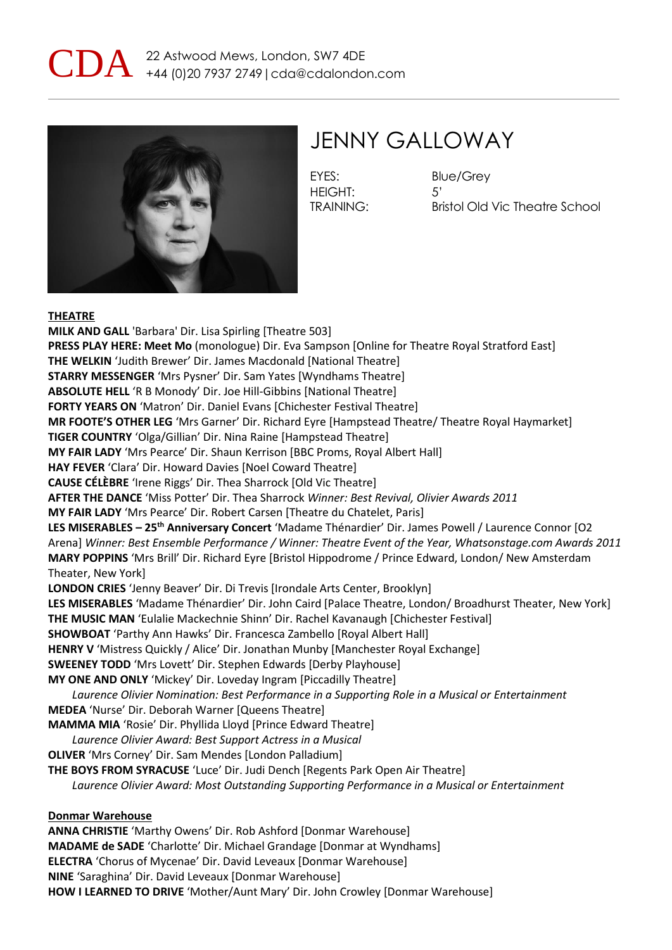



### JENNY GALLOWAY

EYES: Blue/Grey HEIGHT: 5'

TRAINING: Bristol Old Vic Theatre School

#### **THEATRE**

**MILK AND GALL** 'Barbara' Dir. Lisa Spirling [Theatre 503] **PRESS PLAY HERE: Meet Mo** (monologue) Dir. Eva Sampson [Online for Theatre Royal Stratford East] **THE WELKIN** 'Judith Brewer' Dir. James Macdonald [National Theatre] **STARRY MESSENGER** 'Mrs Pysner' Dir. Sam Yates [Wyndhams Theatre] **ABSOLUTE HELL** 'R B Monody' Dir. Joe Hill-Gibbins [National Theatre] **FORTY YEARS ON** 'Matron' Dir. Daniel Evans [Chichester Festival Theatre] **MR FOOTE'S OTHER LEG** 'Mrs Garner' Dir. Richard Eyre [Hampstead Theatre/ Theatre Royal Haymarket] **TIGER COUNTRY** 'Olga/Gillian' Dir. Nina Raine [Hampstead Theatre] **MY FAIR LADY** 'Mrs Pearce' Dir. Shaun Kerrison [BBC Proms, Royal Albert Hall] **HAY FEVER** 'Clara' Dir. Howard Davies [Noel Coward Theatre] **CAUSE CÉLÈBRE** 'Irene Riggs' Dir. Thea Sharrock [Old Vic Theatre] **AFTER THE DANCE** 'Miss Potter' Dir. Thea Sharrock *Winner: Best Revival, Olivier Awards 2011* **MY FAIR LADY** 'Mrs Pearce' Dir. Robert Carsen [Theatre du Chatelet, Paris] **LES MISERABLES – 25th Anniversary Concert** 'Madame Thénardier' Dir. James Powell / Laurence Connor [O2 Arena] *Winner: Best Ensemble Performance / Winner: Theatre Event of the Year, Whatsonstage.com Awards 2011* **MARY POPPINS** 'Mrs Brill' Dir. Richard Eyre [Bristol Hippodrome / Prince Edward, London/ New Amsterdam Theater, New York] **LONDON CRIES** 'Jenny Beaver' Dir. Di Trevis [Irondale Arts Center, Brooklyn] **LES MISERABLES** 'Madame Thénardier' Dir. John Caird [Palace Theatre, London/ Broadhurst Theater, New York] **THE MUSIC MAN** 'Eulalie Mackechnie Shinn' Dir. Rachel Kavanaugh [Chichester Festival] **SHOWBOAT** 'Parthy Ann Hawks' Dir. Francesca Zambello [Royal Albert Hall] **HENRY V** 'Mistress Quickly / Alice' Dir. Jonathan Munby [Manchester Royal Exchange] **SWEENEY TODD** 'Mrs Lovett' Dir. Stephen Edwards [Derby Playhouse] **MY ONE AND ONLY** 'Mickey' Dir. Loveday Ingram [Piccadilly Theatre] *Laurence Olivier Nomination: Best Performance in a Supporting Role in a Musical or Entertainment* **MEDEA** 'Nurse' Dir. Deborah Warner [Queens Theatre] **MAMMA MIA** 'Rosie' Dir. Phyllida Lloyd [Prince Edward Theatre] *Laurence Olivier Award: Best Support Actress in a Musical* **OLIVER** 'Mrs Corney' Dir. Sam Mendes [London Palladium] **THE BOYS FROM SYRACUSE** 'Luce' Dir. Judi Dench [Regents Park Open Air Theatre] *Laurence Olivier Award: Most Outstanding Supporting Performance in a Musical or Entertainment* **Donmar Warehouse ANNA CHRISTIE** 'Marthy Owens' Dir. Rob Ashford [Donmar Warehouse]

**MADAME de SADE** 'Charlotte' Dir. Michael Grandage [Donmar at Wyndhams] **ELECTRA** 'Chorus of Mycenae' Dir. David Leveaux [Donmar Warehouse] **NINE** 'Saraghina' Dir. David Leveaux [Donmar Warehouse] **HOW I LEARNED TO DRIVE** 'Mother/Aunt Mary' Dir. John Crowley [Donmar Warehouse]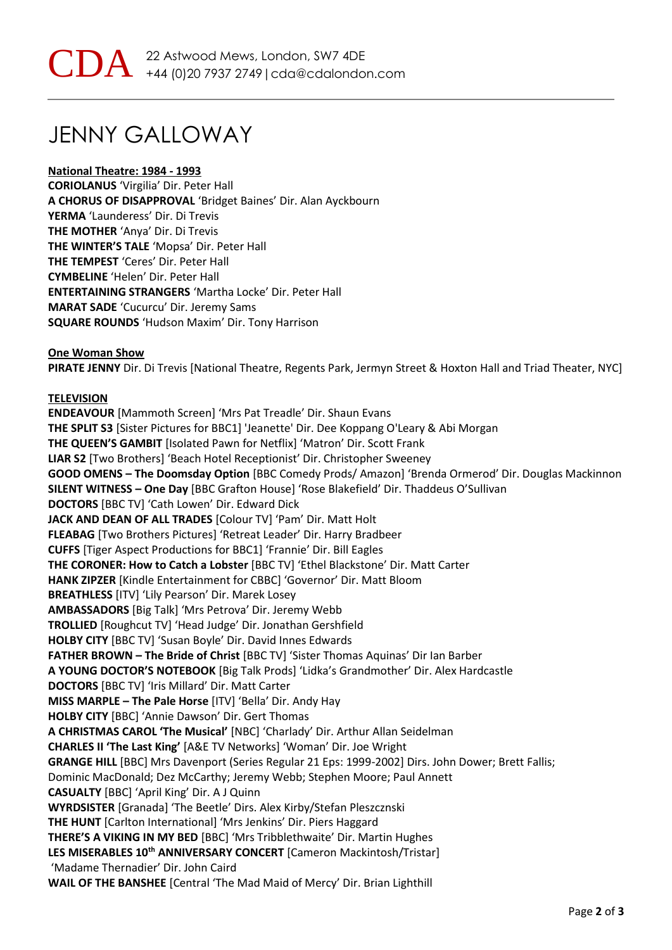## JENNY GALLOWAY

#### **National Theatre: 1984 - 1993**

**CORIOLANUS** 'Virgilia' Dir. Peter Hall **A CHORUS OF DISAPPROVAL** 'Bridget Baines' Dir. Alan Ayckbourn **YERMA** 'Launderess' Dir. Di Trevis **THE MOTHER** 'Anya' Dir. Di Trevis **THE WINTER'S TALE** 'Mopsa' Dir. Peter Hall **THE TEMPEST** 'Ceres' Dir. Peter Hall **CYMBELINE** 'Helen' Dir. Peter Hall **ENTERTAINING STRANGERS** 'Martha Locke' Dir. Peter Hall **MARAT SADE** 'Cucurcu' Dir. Jeremy Sams **SQUARE ROUNDS** 'Hudson Maxim' Dir. Tony Harrison

**One Woman Show PIRATE JENNY** Dir. Di Trevis [National Theatre, Regents Park, Jermyn Street & Hoxton Hall and Triad Theater, NYC]

#### **TELEVISION**

**ENDEAVOUR** [Mammoth Screen] 'Mrs Pat Treadle' Dir. Shaun Evans **THE SPLIT S3** [Sister Pictures for BBC1] 'Jeanette' Dir. Dee Koppang O'Leary & Abi Morgan **THE QUEEN'S GAMBIT** [Isolated Pawn for Netflix] 'Matron' Dir. Scott Frank **LIAR S2** [Two Brothers] 'Beach Hotel Receptionist' Dir. Christopher Sweeney **GOOD OMENS – The Doomsday Option** [BBC Comedy Prods/ Amazon] 'Brenda Ormerod' Dir. Douglas Mackinnon **SILENT WITNESS – One Day** [BBC Grafton House] 'Rose Blakefield' Dir. Thaddeus O'Sullivan **DOCTORS** [BBC TV] 'Cath Lowen' Dir. Edward Dick **JACK AND DEAN OF ALL TRADES** [Colour TV] 'Pam' Dir. Matt Holt **FLEABAG** [Two Brothers Pictures] 'Retreat Leader' Dir. Harry Bradbeer **CUFFS** [Tiger Aspect Productions for BBC1] 'Frannie' Dir. Bill Eagles **THE CORONER: How to Catch a Lobster** [BBC TV] 'Ethel Blackstone' Dir. Matt Carter **HANK ZIPZER** [Kindle Entertainment for CBBC] 'Governor' Dir. Matt Bloom **BREATHLESS** [ITV] 'Lily Pearson' Dir. Marek Losey **AMBASSADORS** [Big Talk] 'Mrs Petrova' Dir. Jeremy Webb **TROLLIED** [Roughcut TV] 'Head Judge' Dir. Jonathan Gershfield **HOLBY CITY** [BBC TV] 'Susan Boyle' Dir. David Innes Edwards **FATHER BROWN – The Bride of Christ** [BBC TV] 'Sister Thomas Aquinas' Dir Ian Barber **A YOUNG DOCTOR'S NOTEBOOK** [Big Talk Prods] 'Lidka's Grandmother' Dir. Alex Hardcastle **DOCTORS** [BBC TV] 'Iris Millard' Dir. Matt Carter **MISS MARPLE – The Pale Horse** [ITV] 'Bella' Dir. Andy Hay **HOLBY CITY** [BBC] 'Annie Dawson' Dir. Gert Thomas **A CHRISTMAS CAROL 'The Musical'** [NBC] 'Charlady' Dir. Arthur Allan Seidelman **CHARLES II 'The Last King'** [A&E TV Networks] 'Woman' Dir. Joe Wright **GRANGE HILL** [BBC] Mrs Davenport (Series Regular 21 Eps: 1999-2002] Dirs. John Dower; Brett Fallis; Dominic MacDonald; Dez McCarthy; Jeremy Webb; Stephen Moore; Paul Annett **CASUALTY** [BBC] 'April King' Dir. A J Quinn **WYRDSISTER** [Granada] 'The Beetle' Dirs. Alex Kirby/Stefan Pleszcznski **THE HUNT** [Carlton International] 'Mrs Jenkins' Dir. Piers Haggard **THERE'S A VIKING IN MY BED** [BBC] 'Mrs Tribblethwaite' Dir. Martin Hughes **LES MISERABLES 10th ANNIVERSARY CONCERT** [Cameron Mackintosh/Tristar] 'Madame Thernadier' Dir. John Caird **WAIL OF THE BANSHEE** [Central 'The Mad Maid of Mercy' Dir. Brian Lighthill